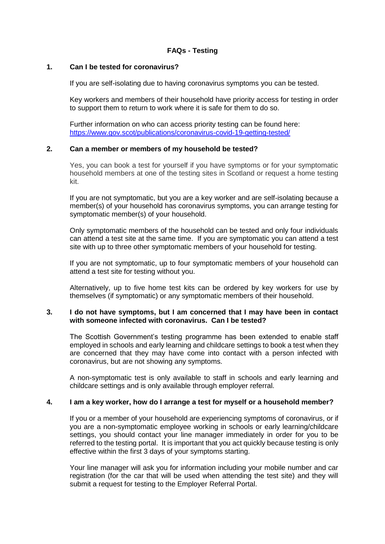# **FAQs - Testing**

#### **1. Can I be tested for coronavirus?**

If you are self-isolating due to having coronavirus symptoms you can be tested.

Key workers and members of their household have priority access for testing in order to support them to return to work where it is safe for them to do so.

Further information on who can access priority testing can be found here: <https://www.gov.scot/publications/coronavirus-covid-19-getting-tested/>

## **2. Can a member or members of my household be tested?**

Yes, you can book a test for yourself if you have symptoms or for your symptomatic household members at one of the testing sites in Scotland or request a home testing kit.

If you are not symptomatic, but you are a key worker and are self-isolating because a member(s) of your household has coronavirus symptoms, you can arrange testing for symptomatic member(s) of your household.

Only symptomatic members of the household can be tested and only four individuals can attend a test site at the same time. If you are symptomatic you can attend a test site with up to three other symptomatic members of your household for testing.

If you are not symptomatic, up to four symptomatic members of your household can attend a test site for testing without you.

Alternatively, up to five home test kits can be ordered by key workers for use by themselves (if symptomatic) or any symptomatic members of their household.

#### **3. I do not have symptoms, but I am concerned that I may have been in contact with someone infected with coronavirus. Can I be tested?**

The Scottish Government's testing programme has been extended to enable staff employed in schools and early learning and childcare settings to book a test when they are concerned that they may have come into contact with a person infected with coronavirus, but are not showing any symptoms.

A non-symptomatic test is only available to staff in schools and early learning and childcare settings and is only available through employer referral.

#### **4. I am a key worker, how do I arrange a test for myself or a household member?**

If you or a member of your household are experiencing symptoms of coronavirus, or if you are a non-symptomatic employee working in schools or early learning/childcare settings, you should contact your line manager immediately in order for you to be referred to the testing portal. It is important that you act quickly because testing is only effective within the first 3 days of your symptoms starting.

Your line manager will ask you for information including your mobile number and car registration (for the car that will be used when attending the test site) and they will submit a request for testing to the Employer Referral Portal.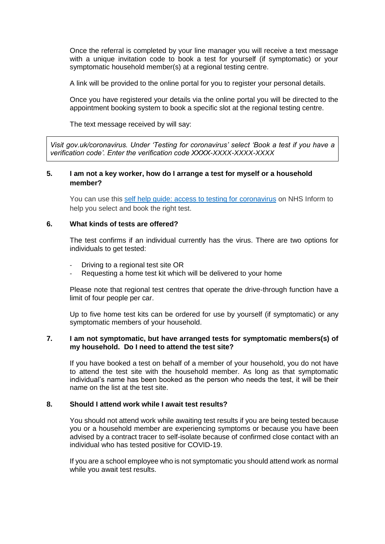Once the referral is completed by your line manager you will receive a text message with a unique invitation code to book a test for yourself (if symptomatic) or your symptomatic household member(s) at a regional testing centre.

A link will be provided to the online portal for you to register your personal details.

Once you have registered your details via the online portal you will be directed to the appointment booking system to book a specific slot at the regional testing centre.

The text message received by will say:

*Visit gov.uk/coronavirus. Under 'Testing for coronavirus' select 'Book a test if you have a verification code'. Enter the verification code XXXX-XXXX-XXXX-XXXX*

# **5. I am not a key worker, how do I arrange a test for myself or a household member?**

You can use this [self help guide: access to testing for coronavirus](https://www.nhsinform.scot/self-help-guides/self-help-guide-access-to-testing-for-coronavirus) on NHS Inform to help you select and book the right test.

### **6. What kinds of tests are offered?**

The test confirms if an individual currently has the virus. There are two options for individuals to get tested:

- Driving to a regional test site OR
- Requesting a home test kit which will be delivered to your home

Please note that regional test centres that operate the drive-through function have a limit of four people per car.

Up to five home test kits can be ordered for use by yourself (if symptomatic) or any symptomatic members of your household.

## **7. I am not symptomatic, but have arranged tests for symptomatic members(s) of my household. Do I need to attend the test site?**

If you have booked a test on behalf of a member of your household, you do not have to attend the test site with the household member. As long as that symptomatic individual's name has been booked as the person who needs the test, it will be their name on the list at the test site.

# **8. Should I attend work while I await test results?**

You should not attend work while awaiting test results if you are being tested because you or a household member are experiencing symptoms or because you have been advised by a contract tracer to self-isolate because of confirmed close contact with an individual who has tested positive for COVID-19.

If you are a school employee who is not symptomatic you should attend work as normal while you await test results.